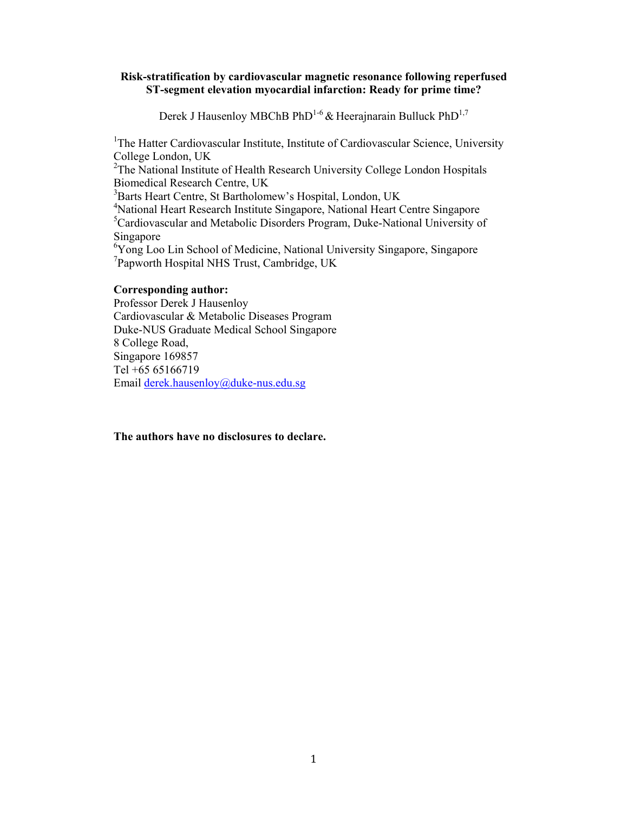## **Risk-stratification by cardiovascular magnetic resonance following reperfused ST-segment elevation myocardial infarction: Ready for prime time?**

Derek J Hausenloy MBChB PhD<sup>1-6</sup> & Heerajnarain Bulluck PhD<sup>1,7</sup>

<sup>1</sup>The Hatter Cardiovascular Institute, Institute of Cardiovascular Science, University College London, UK

<sup>2</sup>The National Institute of Health Research University College London Hospitals Biomedical Research Centre, UK

<sup>3</sup>Barts Heart Centre, St Bartholomew's Hospital, London, UK

4 National Heart Research Institute Singapore, National Heart Centre Singapore 5 Cardiovascular and Metabolic Disorders Program, Duke-National University of Singapore

<sup>6</sup>Yong Loo Lin School of Medicine, National University Singapore, Singapore 7 Papworth Hospital NHS Trust, Cambridge, UK

## **Corresponding author:**

Professor Derek J Hausenloy Cardiovascular & Metabolic Diseases Program Duke-NUS Graduate Medical School Singapore 8 College Road, Singapore 169857 Tel +65 65166719 Email derek.hausenloy@duke-nus.edu.sg

**The authors have no disclosures to declare.**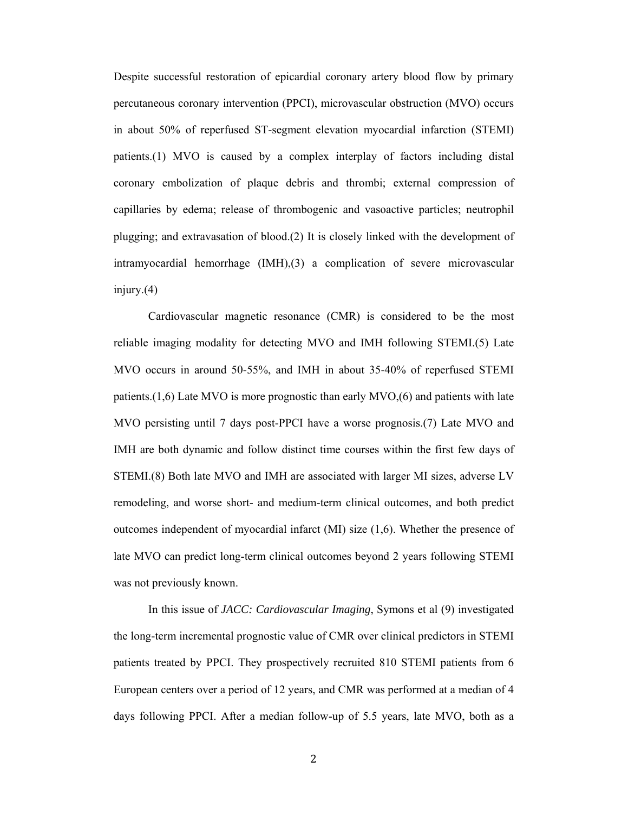Despite successful restoration of epicardial coronary artery blood flow by primary percutaneous coronary intervention (PPCI), microvascular obstruction (MVO) occurs in about 50% of reperfused ST-segment elevation myocardial infarction (STEMI) patients.(1) MVO is caused by a complex interplay of factors including distal coronary embolization of plaque debris and thrombi; external compression of capillaries by edema; release of thrombogenic and vasoactive particles; neutrophil plugging; and extravasation of blood.(2) It is closely linked with the development of intramyocardial hemorrhage (IMH),(3) a complication of severe microvascular injury.(4)

 Cardiovascular magnetic resonance (CMR) is considered to be the most reliable imaging modality for detecting MVO and IMH following STEMI.(5) Late MVO occurs in around 50-55%, and IMH in about 35-40% of reperfused STEMI patients.(1,6) Late MVO is more prognostic than early MVO,(6) and patients with late MVO persisting until 7 days post-PPCI have a worse prognosis.(7) Late MVO and IMH are both dynamic and follow distinct time courses within the first few days of STEMI.(8) Both late MVO and IMH are associated with larger MI sizes, adverse LV remodeling, and worse short- and medium-term clinical outcomes, and both predict outcomes independent of myocardial infarct (MI) size (1,6). Whether the presence of late MVO can predict long-term clinical outcomes beyond 2 years following STEMI was not previously known.

In this issue of *JACC: Cardiovascular Imaging*, Symons et al (9) investigated the long-term incremental prognostic value of CMR over clinical predictors in STEMI patients treated by PPCI. They prospectively recruited 810 STEMI patients from 6 European centers over a period of 12 years, and CMR was performed at a median of 4 days following PPCI. After a median follow-up of 5.5 years, late MVO, both as a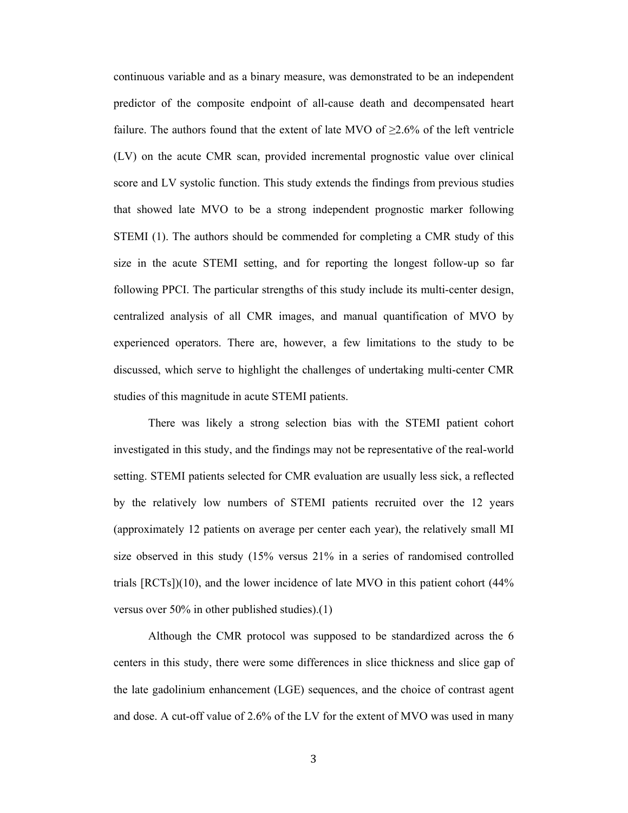continuous variable and as a binary measure, was demonstrated to be an independent predictor of the composite endpoint of all-cause death and decompensated heart failure. The authors found that the extent of late MVO of  $\geq 2.6\%$  of the left ventricle (LV) on the acute CMR scan, provided incremental prognostic value over clinical score and LV systolic function. This study extends the findings from previous studies that showed late MVO to be a strong independent prognostic marker following STEMI (1). The authors should be commended for completing a CMR study of this size in the acute STEMI setting, and for reporting the longest follow-up so far following PPCI. The particular strengths of this study include its multi-center design, centralized analysis of all CMR images, and manual quantification of MVO by experienced operators. There are, however, a few limitations to the study to be discussed, which serve to highlight the challenges of undertaking multi-center CMR studies of this magnitude in acute STEMI patients.

There was likely a strong selection bias with the STEMI patient cohort investigated in this study, and the findings may not be representative of the real-world setting. STEMI patients selected for CMR evaluation are usually less sick, a reflected by the relatively low numbers of STEMI patients recruited over the 12 years (approximately 12 patients on average per center each year), the relatively small MI size observed in this study (15% versus 21% in a series of randomised controlled trials [RCTs])(10), and the lower incidence of late MVO in this patient cohort (44% versus over 50% in other published studies).(1)

Although the CMR protocol was supposed to be standardized across the 6 centers in this study, there were some differences in slice thickness and slice gap of the late gadolinium enhancement (LGE) sequences, and the choice of contrast agent and dose. A cut-off value of 2.6% of the LV for the extent of MVO was used in many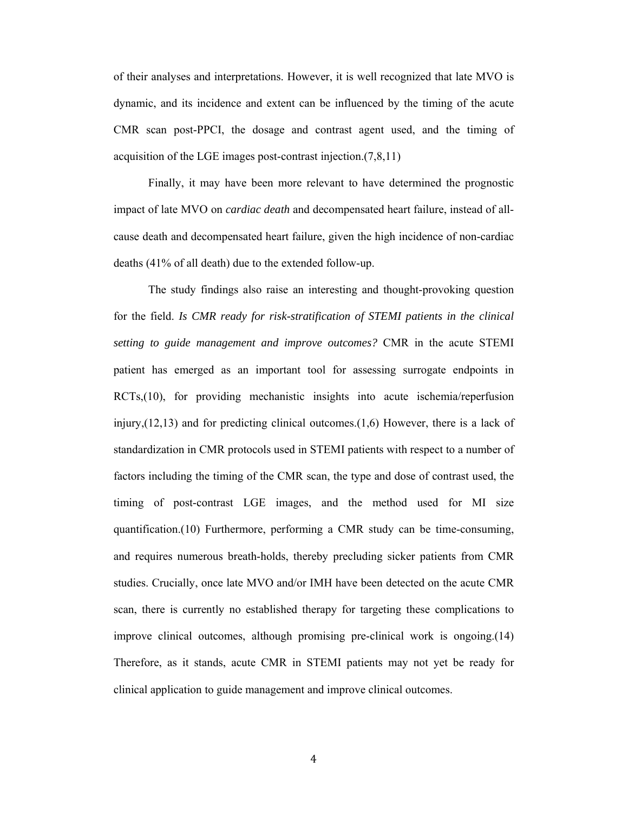of their analyses and interpretations. However, it is well recognized that late MVO is dynamic, and its incidence and extent can be influenced by the timing of the acute CMR scan post-PPCI, the dosage and contrast agent used, and the timing of acquisition of the LGE images post-contrast injection.(7,8,11)

Finally, it may have been more relevant to have determined the prognostic impact of late MVO on *cardiac death* and decompensated heart failure, instead of allcause death and decompensated heart failure, given the high incidence of non-cardiac deaths (41% of all death) due to the extended follow-up.

The study findings also raise an interesting and thought-provoking question for the field. *Is CMR ready for risk-stratification of STEMI patients in the clinical setting to guide management and improve outcomes?* CMR in the acute STEMI patient has emerged as an important tool for assessing surrogate endpoints in RCTs,(10), for providing mechanistic insights into acute ischemia/reperfusion injury, $(12,13)$  and for predicting clinical outcomes. $(1,6)$  However, there is a lack of standardization in CMR protocols used in STEMI patients with respect to a number of factors including the timing of the CMR scan, the type and dose of contrast used, the timing of post-contrast LGE images, and the method used for MI size quantification.(10) Furthermore, performing a CMR study can be time-consuming, and requires numerous breath-holds, thereby precluding sicker patients from CMR studies. Crucially, once late MVO and/or IMH have been detected on the acute CMR scan, there is currently no established therapy for targeting these complications to improve clinical outcomes, although promising pre-clinical work is ongoing.(14) Therefore, as it stands, acute CMR in STEMI patients may not yet be ready for clinical application to guide management and improve clinical outcomes.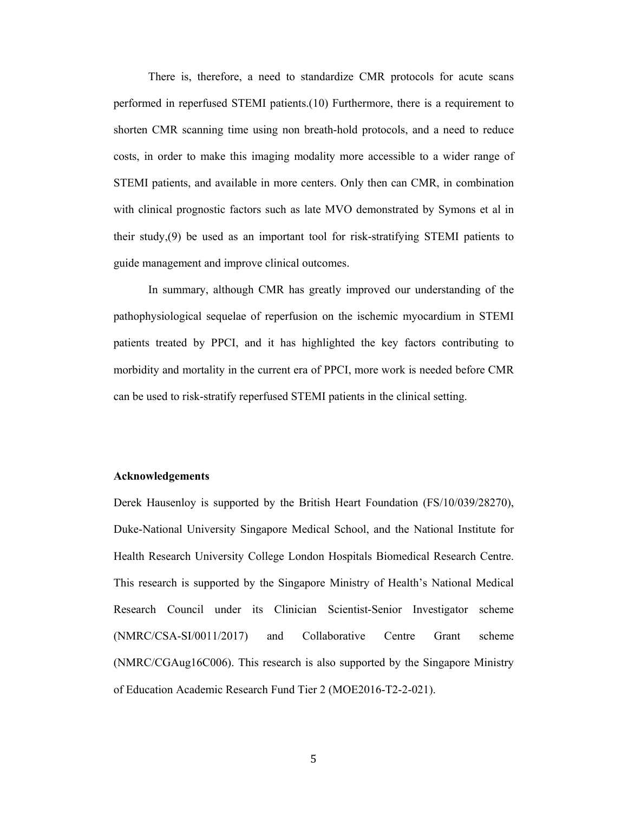There is, therefore, a need to standardize CMR protocols for acute scans performed in reperfused STEMI patients.(10) Furthermore, there is a requirement to shorten CMR scanning time using non breath-hold protocols, and a need to reduce costs, in order to make this imaging modality more accessible to a wider range of STEMI patients, and available in more centers. Only then can CMR, in combination with clinical prognostic factors such as late MVO demonstrated by Symons et al in their study,(9) be used as an important tool for risk-stratifying STEMI patients to guide management and improve clinical outcomes.

 In summary, although CMR has greatly improved our understanding of the pathophysiological sequelae of reperfusion on the ischemic myocardium in STEMI patients treated by PPCI, and it has highlighted the key factors contributing to morbidity and mortality in the current era of PPCI, more work is needed before CMR can be used to risk-stratify reperfused STEMI patients in the clinical setting.

## **Acknowledgements**

Derek Hausenloy is supported by the British Heart Foundation (FS/10/039/28270), Duke-National University Singapore Medical School, and the National Institute for Health Research University College London Hospitals Biomedical Research Centre. This research is supported by the Singapore Ministry of Health's National Medical Research Council under its Clinician Scientist-Senior Investigator scheme (NMRC/CSA-SI/0011/2017) and Collaborative Centre Grant scheme (NMRC/CGAug16C006). This research is also supported by the Singapore Ministry of Education Academic Research Fund Tier 2 (MOE2016-T2-2-021).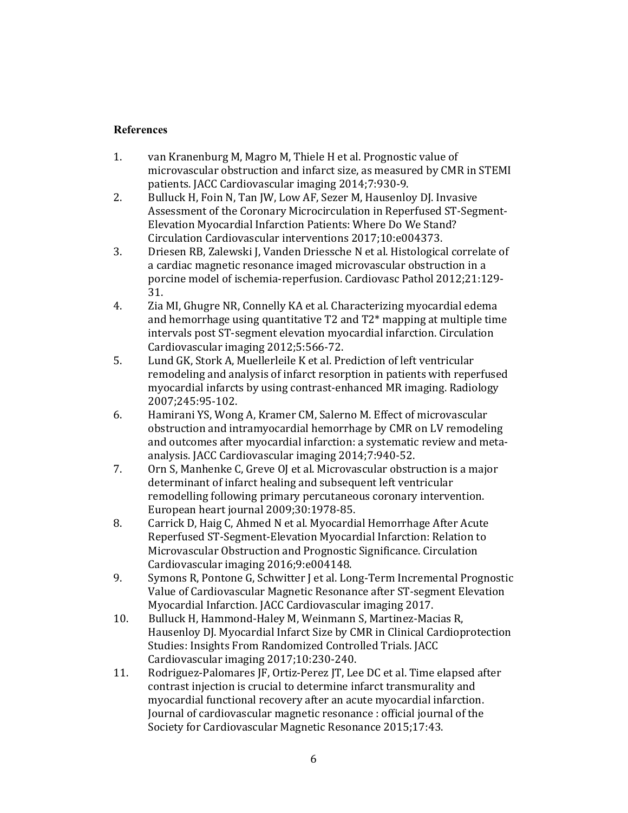## **References**

- 1. van Kranenburg M, Magro M, Thiele H et al. Prognostic value of microvascular obstruction and infarct size, as measured by CMR in STEMI patients. JACC Cardiovascular imaging 2014;7:930-9.
- 2. Bulluck H, Foin N, Tan JW, Low AF, Sezer M, Hausenloy DJ. Invasive Assessment of the Coronary Microcirculation in Reperfused ST-Segment-Elevation Myocardial Infarction Patients: Where Do We Stand? Circulation Cardiovascular interventions 2017;10:e004373.
- 3. Driesen RB, Zalewski J, Vanden Driessche N et al. Histological correlate of a cardiac magnetic resonance imaged microvascular obstruction in a porcine model of ischemia-reperfusion. Cardiovasc Pathol 2012;21:129- 31.
- 4. Zia MI, Ghugre NR, Connelly KA et al. Characterizing myocardial edema and hemorrhage using quantitative T2 and T2\* mapping at multiple time intervals post ST-segment elevation myocardial infarction. Circulation Cardiovascular imaging 2012;5:566-72.
- 5. Lund GK, Stork A, Muellerleile K et al. Prediction of left ventricular remodeling and analysis of infarct resorption in patients with reperfused myocardial infarcts by using contrast-enhanced MR imaging. Radiology 2007;245:95-102.
- 6. Hamirani YS, Wong A, Kramer CM, Salerno M. Effect of microvascular obstruction and intramyocardial hemorrhage by CMR on LV remodeling and outcomes after myocardial infarction: a systematic review and metaanalysis. JACC Cardiovascular imaging 2014;7:940-52.
- 7. Orn S, Manhenke C, Greve OJ et al. Microvascular obstruction is a major determinant of infarct healing and subsequent left ventricular remodelling following primary percutaneous coronary intervention. European heart journal 2009;30:1978-85.
- 8. Carrick D, Haig C, Ahmed N et al. Myocardial Hemorrhage After Acute Reperfused ST-Segment-Elevation Myocardial Infarction: Relation to Microvascular Obstruction and Prognostic Significance. Circulation Cardiovascular imaging 2016;9:e004148.
- 9. Symons R, Pontone G, Schwitter J et al. Long-Term Incremental Prognostic Value of Cardiovascular Magnetic Resonance after ST-segment Elevation Myocardial Infarction. JACC Cardiovascular imaging 2017.
- 10. Bulluck H, Hammond-Haley M, Weinmann S, Martinez-Macias R, Hausenloy DJ. Myocardial Infarct Size by CMR in Clinical Cardioprotection Studies: Insights From Randomized Controlled Trials. JACC Cardiovascular imaging 2017;10:230-240.
- 11. Rodriguez-Palomares JF, Ortiz-Perez JT, Lee DC et al. Time elapsed after contrast injection is crucial to determine infarct transmurality and myocardial functional recovery after an acute myocardial infarction. Journal of cardiovascular magnetic resonance : official journal of the Society for Cardiovascular Magnetic Resonance 2015;17:43.